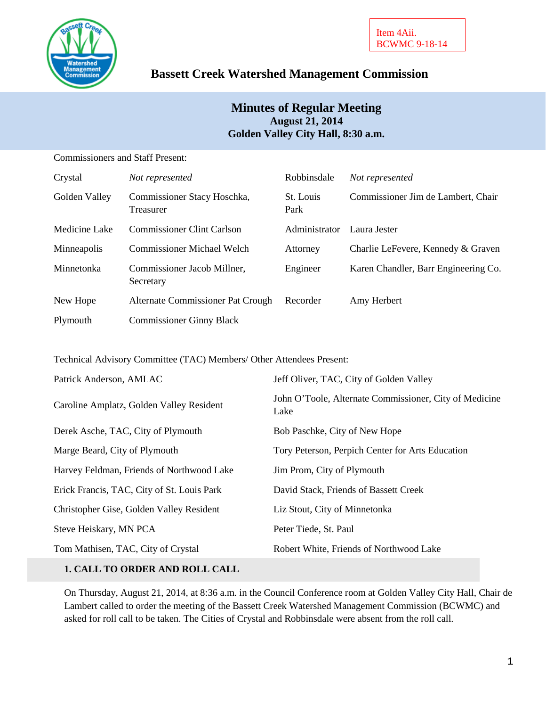

# **Bassett Creek Watershed Management Commission**

# **Minutes of Regular Meeting August 21, 2014 Golden Valley City Hall, 8:30 a.m.**

Commissioners and Staff Present:

| Crystal       | Not represented                          | Robbinsdale       | Not represented                      |
|---------------|------------------------------------------|-------------------|--------------------------------------|
| Golden Valley | Commissioner Stacy Hoschka,<br>Treasurer | St. Louis<br>Park | Commissioner Jim de Lambert, Chair   |
| Medicine Lake | <b>Commissioner Clint Carlson</b>        | Administrator     | Laura Jester                         |
| Minneapolis   | <b>Commissioner Michael Welch</b>        | Attorney          | Charlie LeFevere, Kennedy & Graven   |
| Minnetonka    | Commissioner Jacob Millner,<br>Secretary | Engineer          | Karen Chandler, Barr Engineering Co. |
| New Hope      | Alternate Commissioner Pat Crough        | Recorder          | Amy Herbert                          |
| Plymouth      | <b>Commissioner Ginny Black</b>          |                   |                                      |

Technical Advisory Committee (TAC) Members/ Other Attendees Present:

| Patrick Anderson, AMLAC                    | Jeff Oliver, TAC, City of Golden Valley                        |  |
|--------------------------------------------|----------------------------------------------------------------|--|
| Caroline Amplatz, Golden Valley Resident   | John O'Toole, Alternate Commissioner, City of Medicine<br>Lake |  |
| Derek Asche, TAC, City of Plymouth         | Bob Paschke, City of New Hope                                  |  |
| Marge Beard, City of Plymouth              | Tory Peterson, Perpich Center for Arts Education               |  |
| Harvey Feldman, Friends of Northwood Lake  | Jim Prom, City of Plymouth                                     |  |
| Erick Francis, TAC, City of St. Louis Park | David Stack, Friends of Bassett Creek                          |  |
| Christopher Gise, Golden Valley Resident   | Liz Stout, City of Minnetonka                                  |  |
| Steve Heiskary, MN PCA                     | Peter Tiede, St. Paul                                          |  |
| Tom Mathisen, TAC, City of Crystal         | Robert White, Friends of Northwood Lake                        |  |

# **1. CALL TO ORDER AND ROLL CALL**

On Thursday, August 21, 2014, at 8:36 a.m. in the Council Conference room at Golden Valley City Hall, Chair de Lambert called to order the meeting of the Bassett Creek Watershed Management Commission (BCWMC) and asked for roll call to be taken. The Cities of Crystal and Robbinsdale were absent from the roll call.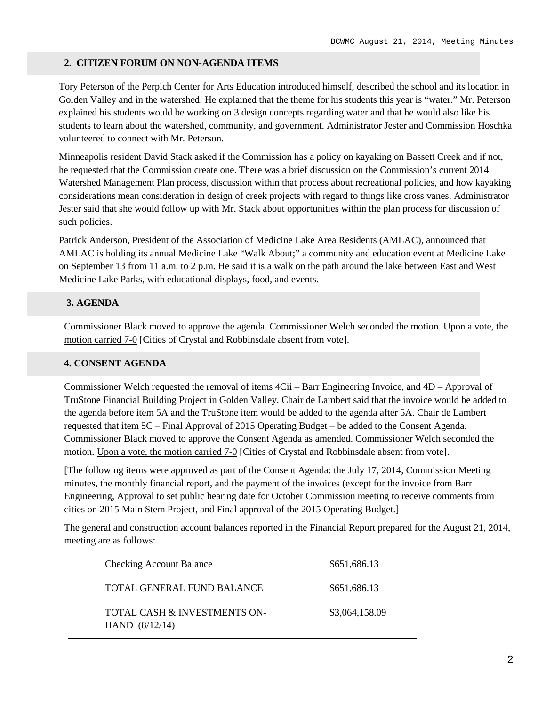#### **2. CITIZEN FORUM ON NON-AGENDA ITEMS**

Tory Peterson of the Perpich Center for Arts Education introduced himself, described the school and its location in Golden Valley and in the watershed. He explained that the theme for his students this year is "water." Mr. Peterson explained his students would be working on 3 design concepts regarding water and that he would also like his students to learn about the watershed, community, and government. Administrator Jester and Commission Hoschka volunteered to connect with Mr. Peterson.

Minneapolis resident David Stack asked if the Commission has a policy on kayaking on Bassett Creek and if not, he requested that the Commission create one. There was a brief discussion on the Commission's current 2014 Watershed Management Plan process, discussion within that process about recreational policies, and how kayaking considerations mean consideration in design of creek projects with regard to things like cross vanes. Administrator Jester said that she would follow up with Mr. Stack about opportunities within the plan process for discussion of such policies.

Patrick Anderson, President of the Association of Medicine Lake Area Residents (AMLAC), announced that AMLAC is holding its annual Medicine Lake "Walk About;" a community and education event at Medicine Lake on September 13 from 11 a.m. to 2 p.m. He said it is a walk on the path around the lake between East and West Medicine Lake Parks, with educational displays, food, and events.

### **3. AGENDA**

Commissioner Black moved to approve the agenda. Commissioner Welch seconded the motion. Upon a vote, the motion carried 7-0 [Cities of Crystal and Robbinsdale absent from vote].

### **4. CONSENT AGENDA**

Commissioner Welch requested the removal of items 4Cii – Barr Engineering Invoice, and 4D – Approval of TruStone Financial Building Project in Golden Valley. Chair de Lambert said that the invoice would be added to the agenda before item 5A and the TruStone item would be added to the agenda after 5A. Chair de Lambert requested that item 5C – Final Approval of 2015 Operating Budget – be added to the Consent Agenda. Commissioner Black moved to approve the Consent Agenda as amended. Commissioner Welch seconded the motion. Upon a vote, the motion carried 7-0 [Cities of Crystal and Robbinsdale absent from vote].

[The following items were approved as part of the Consent Agenda: the July 17, 2014, Commission Meeting minutes, the monthly financial report, and the payment of the invoices (except for the invoice from Barr Engineering, Approval to set public hearing date for October Commission meeting to receive comments from cities on 2015 Main Stem Project, and Final approval of the 2015 Operating Budget.]

The general and construction account balances reported in the Financial Report prepared for the August 21, 2014, meeting are as follows:

| <b>Checking Account Balance</b>                  | \$651,686.13   |
|--------------------------------------------------|----------------|
| TOTAL GENERAL FUND BALANCE                       | \$651,686.13   |
| TOTAL CASH & INVESTMENTS ON-<br>HAND $(8/12/14)$ | \$3,064,158.09 |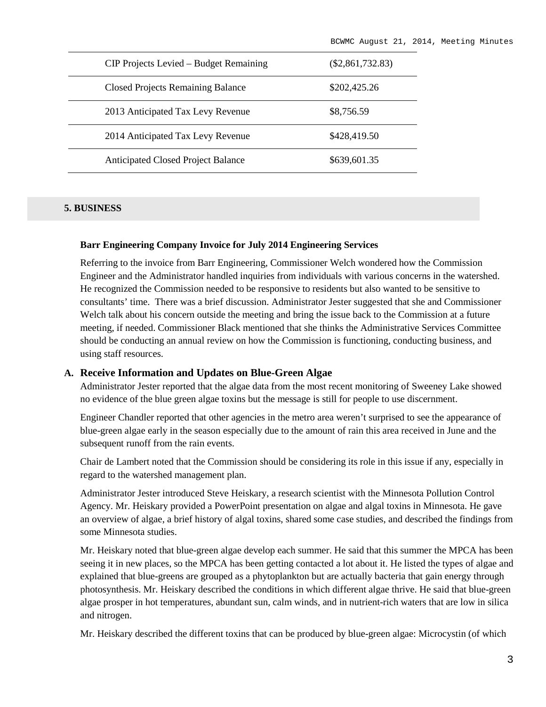| CIP Projects Levied – Budget Remaining    | $(\$2,861,732.83)$ |
|-------------------------------------------|--------------------|
| <b>Closed Projects Remaining Balance</b>  | \$202,425.26       |
| 2013 Anticipated Tax Levy Revenue         | \$8,756.59         |
| 2014 Anticipated Tax Levy Revenue         | \$428,419.50       |
| <b>Anticipated Closed Project Balance</b> | \$639,601.35       |

#### **5. BUSINESS**

#### **Barr Engineering Company Invoice for July 2014 Engineering Services**

Referring to the invoice from Barr Engineering, Commissioner Welch wondered how the Commission Engineer and the Administrator handled inquiries from individuals with various concerns in the watershed. He recognized the Commission needed to be responsive to residents but also wanted to be sensitive to consultants' time. There was a brief discussion. Administrator Jester suggested that she and Commissioner Welch talk about his concern outside the meeting and bring the issue back to the Commission at a future meeting, if needed. Commissioner Black mentioned that she thinks the Administrative Services Committee should be conducting an annual review on how the Commission is functioning, conducting business, and using staff resources.

#### **A. Receive Information and Updates on Blue-Green Algae**

Administrator Jester reported that the algae data from the most recent monitoring of Sweeney Lake showed no evidence of the blue green algae toxins but the message is still for people to use discernment.

Engineer Chandler reported that other agencies in the metro area weren't surprised to see the appearance of blue-green algae early in the season especially due to the amount of rain this area received in June and the subsequent runoff from the rain events.

Chair de Lambert noted that the Commission should be considering its role in this issue if any, especially in regard to the watershed management plan.

Administrator Jester introduced Steve Heiskary, a research scientist with the Minnesota Pollution Control Agency. Mr. Heiskary provided a PowerPoint presentation on algae and algal toxins in Minnesota. He gave an overview of algae, a brief history of algal toxins, shared some case studies, and described the findings from some Minnesota studies.

Mr. Heiskary noted that blue-green algae develop each summer. He said that this summer the MPCA has been seeing it in new places, so the MPCA has been getting contacted a lot about it. He listed the types of algae and explained that blue-greens are grouped as a phytoplankton but are actually bacteria that gain energy through photosynthesis. Mr. Heiskary described the conditions in which different algae thrive. He said that blue-green algae prosper in hot temperatures, abundant sun, calm winds, and in nutrient-rich waters that are low in silica and nitrogen.

Mr. Heiskary described the different toxins that can be produced by blue-green algae: Microcystin (of which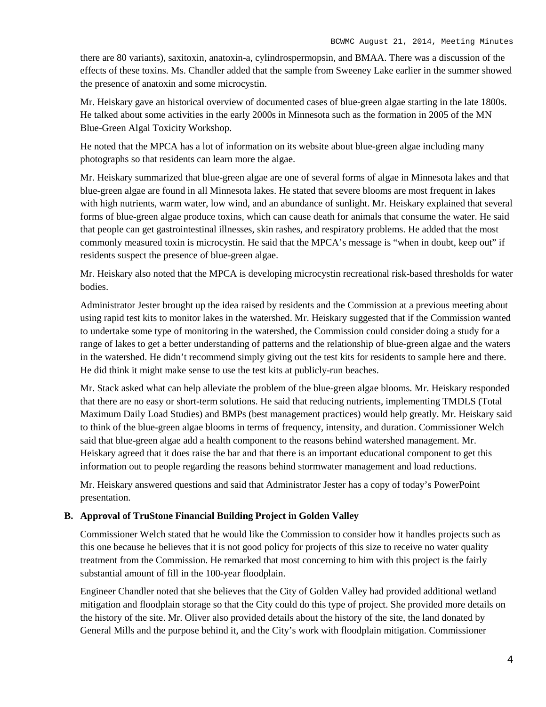there are 80 variants), saxitoxin, anatoxin-a, cylindrospermopsin, and BMAA. There was a discussion of the effects of these toxins. Ms. Chandler added that the sample from Sweeney Lake earlier in the summer showed the presence of anatoxin and some microcystin.

Mr. Heiskary gave an historical overview of documented cases of blue-green algae starting in the late 1800s. He talked about some activities in the early 2000s in Minnesota such as the formation in 2005 of the MN Blue-Green Algal Toxicity Workshop.

He noted that the MPCA has a lot of information on its website about blue-green algae including many photographs so that residents can learn more the algae.

Mr. Heiskary summarized that blue-green algae are one of several forms of algae in Minnesota lakes and that blue-green algae are found in all Minnesota lakes. He stated that severe blooms are most frequent in lakes with high nutrients, warm water, low wind, and an abundance of sunlight. Mr. Heiskary explained that several forms of blue-green algae produce toxins, which can cause death for animals that consume the water. He said that people can get gastrointestinal illnesses, skin rashes, and respiratory problems. He added that the most commonly measured toxin is microcystin. He said that the MPCA's message is "when in doubt, keep out" if residents suspect the presence of blue-green algae.

Mr. Heiskary also noted that the MPCA is developing microcystin recreational risk-based thresholds for water bodies.

Administrator Jester brought up the idea raised by residents and the Commission at a previous meeting about using rapid test kits to monitor lakes in the watershed. Mr. Heiskary suggested that if the Commission wanted to undertake some type of monitoring in the watershed, the Commission could consider doing a study for a range of lakes to get a better understanding of patterns and the relationship of blue-green algae and the waters in the watershed. He didn't recommend simply giving out the test kits for residents to sample here and there. He did think it might make sense to use the test kits at publicly-run beaches.

Mr. Stack asked what can help alleviate the problem of the blue-green algae blooms. Mr. Heiskary responded that there are no easy or short-term solutions. He said that reducing nutrients, implementing TMDLS (Total Maximum Daily Load Studies) and BMPs (best management practices) would help greatly. Mr. Heiskary said to think of the blue-green algae blooms in terms of frequency, intensity, and duration. Commissioner Welch said that blue-green algae add a health component to the reasons behind watershed management. Mr. Heiskary agreed that it does raise the bar and that there is an important educational component to get this information out to people regarding the reasons behind stormwater management and load reductions.

Mr. Heiskary answered questions and said that Administrator Jester has a copy of today's PowerPoint presentation.

# **B. Approval of TruStone Financial Building Project in Golden Valley**

Commissioner Welch stated that he would like the Commission to consider how it handles projects such as this one because he believes that it is not good policy for projects of this size to receive no water quality treatment from the Commission. He remarked that most concerning to him with this project is the fairly substantial amount of fill in the 100-year floodplain.

Engineer Chandler noted that she believes that the City of Golden Valley had provided additional wetland mitigation and floodplain storage so that the City could do this type of project. She provided more details on the history of the site. Mr. Oliver also provided details about the history of the site, the land donated by General Mills and the purpose behind it, and the City's work with floodplain mitigation. Commissioner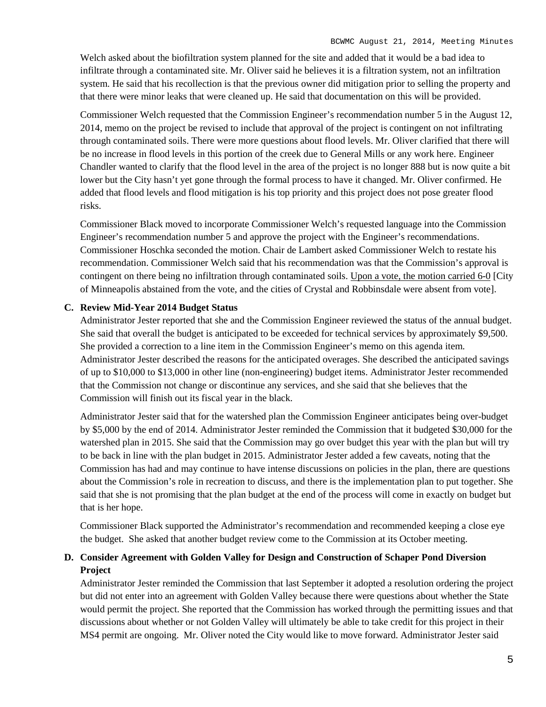Welch asked about the biofiltration system planned for the site and added that it would be a bad idea to infiltrate through a contaminated site. Mr. Oliver said he believes it is a filtration system, not an infiltration system. He said that his recollection is that the previous owner did mitigation prior to selling the property and that there were minor leaks that were cleaned up. He said that documentation on this will be provided.

Commissioner Welch requested that the Commission Engineer's recommendation number 5 in the August 12, 2014, memo on the project be revised to include that approval of the project is contingent on not infiltrating through contaminated soils. There were more questions about flood levels. Mr. Oliver clarified that there will be no increase in flood levels in this portion of the creek due to General Mills or any work here. Engineer Chandler wanted to clarify that the flood level in the area of the project is no longer 888 but is now quite a bit lower but the City hasn't yet gone through the formal process to have it changed. Mr. Oliver confirmed. He added that flood levels and flood mitigation is his top priority and this project does not pose greater flood risks.

Commissioner Black moved to incorporate Commissioner Welch's requested language into the Commission Engineer's recommendation number 5 and approve the project with the Engineer's recommendations. Commissioner Hoschka seconded the motion. Chair de Lambert asked Commissioner Welch to restate his recommendation. Commissioner Welch said that his recommendation was that the Commission's approval is contingent on there being no infiltration through contaminated soils. Upon a vote, the motion carried 6-0 [City of Minneapolis abstained from the vote, and the cities of Crystal and Robbinsdale were absent from vote].

#### **C. Review Mid-Year 2014 Budget Status**

Administrator Jester reported that she and the Commission Engineer reviewed the status of the annual budget. She said that overall the budget is anticipated to be exceeded for technical services by approximately \$9,500. She provided a correction to a line item in the Commission Engineer's memo on this agenda item. Administrator Jester described the reasons for the anticipated overages. She described the anticipated savings of up to \$10,000 to \$13,000 in other line (non-engineering) budget items. Administrator Jester recommended that the Commission not change or discontinue any services, and she said that she believes that the Commission will finish out its fiscal year in the black.

Administrator Jester said that for the watershed plan the Commission Engineer anticipates being over-budget by \$5,000 by the end of 2014. Administrator Jester reminded the Commission that it budgeted \$30,000 for the watershed plan in 2015. She said that the Commission may go over budget this year with the plan but will try to be back in line with the plan budget in 2015. Administrator Jester added a few caveats, noting that the Commission has had and may continue to have intense discussions on policies in the plan, there are questions about the Commission's role in recreation to discuss, and there is the implementation plan to put together. She said that she is not promising that the plan budget at the end of the process will come in exactly on budget but that is her hope.

Commissioner Black supported the Administrator's recommendation and recommended keeping a close eye the budget. She asked that another budget review come to the Commission at its October meeting.

# **D. Consider Agreement with Golden Valley for Design and Construction of Schaper Pond Diversion Project**

Administrator Jester reminded the Commission that last September it adopted a resolution ordering the project but did not enter into an agreement with Golden Valley because there were questions about whether the State would permit the project. She reported that the Commission has worked through the permitting issues and that discussions about whether or not Golden Valley will ultimately be able to take credit for this project in their MS4 permit are ongoing. Mr. Oliver noted the City would like to move forward. Administrator Jester said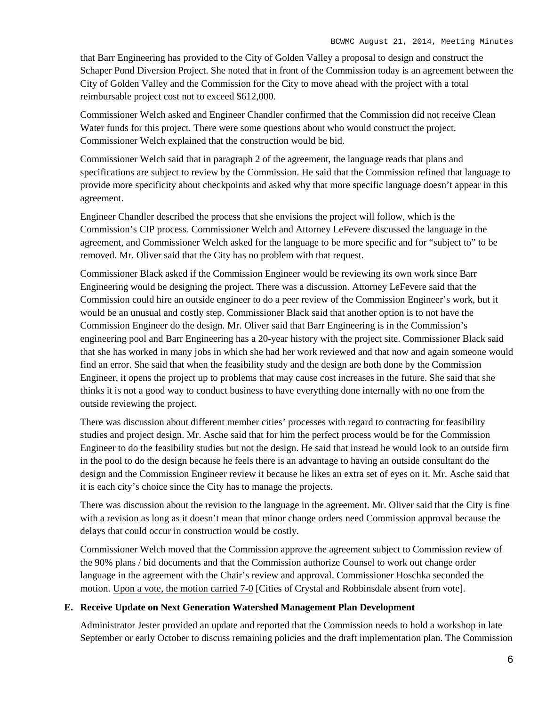that Barr Engineering has provided to the City of Golden Valley a proposal to design and construct the Schaper Pond Diversion Project. She noted that in front of the Commission today is an agreement between the City of Golden Valley and the Commission for the City to move ahead with the project with a total reimbursable project cost not to exceed \$612,000.

Commissioner Welch asked and Engineer Chandler confirmed that the Commission did not receive Clean Water funds for this project. There were some questions about who would construct the project. Commissioner Welch explained that the construction would be bid.

Commissioner Welch said that in paragraph 2 of the agreement, the language reads that plans and specifications are subject to review by the Commission. He said that the Commission refined that language to provide more specificity about checkpoints and asked why that more specific language doesn't appear in this agreement.

Engineer Chandler described the process that she envisions the project will follow, which is the Commission's CIP process. Commissioner Welch and Attorney LeFevere discussed the language in the agreement, and Commissioner Welch asked for the language to be more specific and for "subject to" to be removed. Mr. Oliver said that the City has no problem with that request.

Commissioner Black asked if the Commission Engineer would be reviewing its own work since Barr Engineering would be designing the project. There was a discussion. Attorney LeFevere said that the Commission could hire an outside engineer to do a peer review of the Commission Engineer's work, but it would be an unusual and costly step. Commissioner Black said that another option is to not have the Commission Engineer do the design. Mr. Oliver said that Barr Engineering is in the Commission's engineering pool and Barr Engineering has a 20-year history with the project site. Commissioner Black said that she has worked in many jobs in which she had her work reviewed and that now and again someone would find an error. She said that when the feasibility study and the design are both done by the Commission Engineer, it opens the project up to problems that may cause cost increases in the future. She said that she thinks it is not a good way to conduct business to have everything done internally with no one from the outside reviewing the project.

There was discussion about different member cities' processes with regard to contracting for feasibility studies and project design. Mr. Asche said that for him the perfect process would be for the Commission Engineer to do the feasibility studies but not the design. He said that instead he would look to an outside firm in the pool to do the design because he feels there is an advantage to having an outside consultant do the design and the Commission Engineer review it because he likes an extra set of eyes on it. Mr. Asche said that it is each city's choice since the City has to manage the projects.

There was discussion about the revision to the language in the agreement. Mr. Oliver said that the City is fine with a revision as long as it doesn't mean that minor change orders need Commission approval because the delays that could occur in construction would be costly.

Commissioner Welch moved that the Commission approve the agreement subject to Commission review of the 90% plans / bid documents and that the Commission authorize Counsel to work out change order language in the agreement with the Chair's review and approval. Commissioner Hoschka seconded the motion. Upon a vote, the motion carried 7-0 [Cities of Crystal and Robbinsdale absent from vote].

#### **E. Receive Update on Next Generation Watershed Management Plan Development**

Administrator Jester provided an update and reported that the Commission needs to hold a workshop in late September or early October to discuss remaining policies and the draft implementation plan. The Commission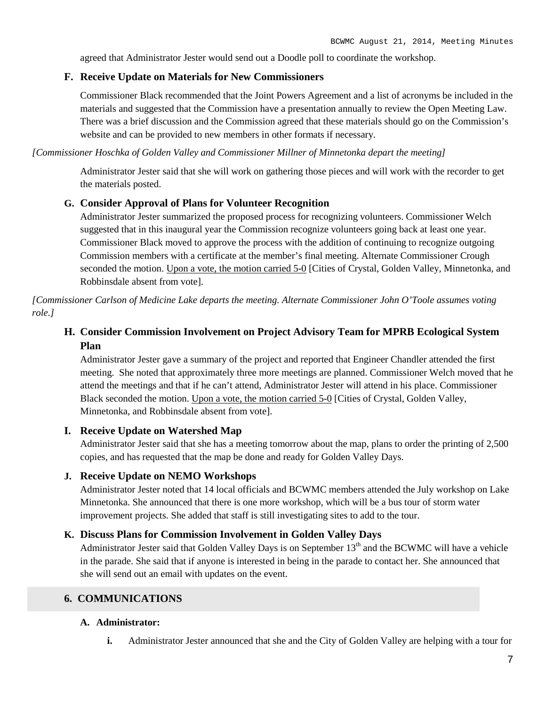agreed that Administrator Jester would send out a Doodle poll to coordinate the workshop.

### **F. Receive Update on Materials for New Commissioners**

Commissioner Black recommended that the Joint Powers Agreement and a list of acronyms be included in the materials and suggested that the Commission have a presentation annually to review the Open Meeting Law. There was a brief discussion and the Commission agreed that these materials should go on the Commission's website and can be provided to new members in other formats if necessary.

*[Commissioner Hoschka of Golden Valley and Commissioner Millner of Minnetonka depart the meeting]*

Administrator Jester said that she will work on gathering those pieces and will work with the recorder to get the materials posted.

#### **G. Consider Approval of Plans for Volunteer Recognition**

Administrator Jester summarized the proposed process for recognizing volunteers. Commissioner Welch suggested that in this inaugural year the Commission recognize volunteers going back at least one year. Commissioner Black moved to approve the process with the addition of continuing to recognize outgoing Commission members with a certificate at the member's final meeting. Alternate Commissioner Crough seconded the motion. Upon a vote, the motion carried 5-0 [Cities of Crystal, Golden Valley, Minnetonka, and Robbinsdale absent from vote].

*[Commissioner Carlson of Medicine Lake departs the meeting. Alternate Commissioner John O'Toole assumes voting role.]*

# **H. Consider Commission Involvement on Project Advisory Team for MPRB Ecological System Plan**

Administrator Jester gave a summary of the project and reported that Engineer Chandler attended the first meeting. She noted that approximately three more meetings are planned. Commissioner Welch moved that he attend the meetings and that if he can't attend, Administrator Jester will attend in his place. Commissioner Black seconded the motion. Upon a vote, the motion carried 5-0 [Cities of Crystal, Golden Valley, Minnetonka, and Robbinsdale absent from vote].

### **I. Receive Update on Watershed Map**

Administrator Jester said that she has a meeting tomorrow about the map, plans to order the printing of 2,500 copies, and has requested that the map be done and ready for Golden Valley Days.

### **J. Receive Update on NEMO Workshops**

Administrator Jester noted that 14 local officials and BCWMC members attended the July workshop on Lake Minnetonka. She announced that there is one more workshop, which will be a bus tour of storm water improvement projects. She added that staff is still investigating sites to add to the tour.

### **K. Discuss Plans for Commission Involvement in Golden Valley Days**

Administrator Jester said that Golden Valley Days is on September 13<sup>th</sup> and the BCWMC will have a vehicle in the parade. She said that if anyone is interested in being in the parade to contact her. She announced that she will send out an email with updates on the event.

# **6. COMMUNICATIONS**

#### **A. Administrator:**

**i.** Administrator Jester announced that she and the City of Golden Valley are helping with a tour for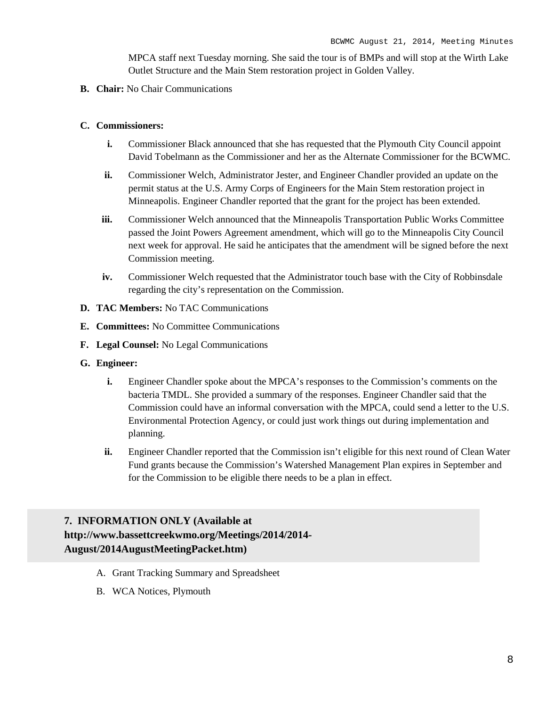MPCA staff next Tuesday morning. She said the tour is of BMPs and will stop at the Wirth Lake Outlet Structure and the Main Stem restoration project in Golden Valley.

**B. Chair:** No Chair Communications

#### **C. Commissioners:**

- **i.** Commissioner Black announced that she has requested that the Plymouth City Council appoint David Tobelmann as the Commissioner and her as the Alternate Commissioner for the BCWMC.
- **ii.** Commissioner Welch, Administrator Jester, and Engineer Chandler provided an update on the permit status at the U.S. Army Corps of Engineers for the Main Stem restoration project in Minneapolis. Engineer Chandler reported that the grant for the project has been extended.
- **iii.** Commissioner Welch announced that the Minneapolis Transportation Public Works Committee passed the Joint Powers Agreement amendment, which will go to the Minneapolis City Council next week for approval. He said he anticipates that the amendment will be signed before the next Commission meeting.
- **iv.** Commissioner Welch requested that the Administrator touch base with the City of Robbinsdale regarding the city's representation on the Commission.
- **D. TAC Members:** No TAC Communications
- **E. Committees:** No Committee Communications
- **F. Legal Counsel:** No Legal Communications
- **G. Engineer:**
	- **i.** Engineer Chandler spoke about the MPCA's responses to the Commission's comments on the bacteria TMDL. She provided a summary of the responses. Engineer Chandler said that the Commission could have an informal conversation with the MPCA, could send a letter to the U.S. Environmental Protection Agency, or could just work things out during implementation and planning.
	- **ii.** Engineer Chandler reported that the Commission isn't eligible for this next round of Clean Water Fund grants because the Commission's Watershed Management Plan expires in September and for the Commission to be eligible there needs to be a plan in effect.

# **7. INFORMATION ONLY (Available at http://www.bassettcreekwmo.org/Meetings/2014/2014- August/2014AugustMeetingPacket.htm)**

- A. Grant Tracking Summary and Spreadsheet
- B. WCA Notices, Plymouth